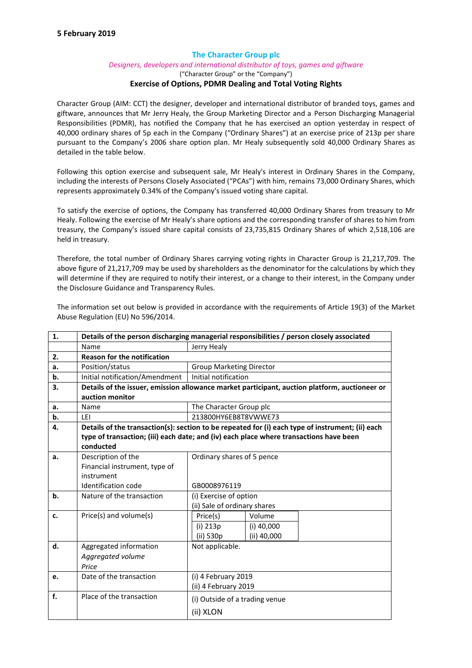# The Character Group plc

### *Designers, developers and international distributor of toys, games and giftware*

## ("Character Group" or the "Company") Exercise of Options, PDMR Dealing and Total Voting Rights

Character Group (AIM: CCT) the designer, developer and international distributor of branded toys, games and giftware, announces that Mr Jerry Healy, the Group Marketing Director and a Person Discharging Managerial Responsibilities (PDMR), has notified the Company that he has exercised an option yesterday in respect of 40,000 ordinary shares of 5p each in the Company ("Ordinary Shares") at an exercise price of 213p per share pursuant to the Company's 2006 share option plan. Mr Healy subsequently sold 40,000 Ordinary Shares as detailed in the table below.

Following this option exercise and subsequent sale, Mr Healy's interest in Ordinary Shares in the Company, including the interests of Persons Closely Associated ("PCAs") with him, remains 73,000 Ordinary Shares, which represents approximately 0.34% of the Company's issued voting share capital.

To satisfy the exercise of options, the Company has transferred 40,000 Ordinary Shares from treasury to Mr Healy. Following the exercise of Mr Healy's share options and the corresponding transfer of shares to him from treasury, the Company's issued share capital consists of 23,735,815 Ordinary Shares of which 2,518,106 are held in treasury.

Therefore, the total number of Ordinary Shares carrying voting rights in Character Group is 21,217,709. The above figure of 21,217,709 may be used by shareholders as the denominator for the calculations by which they will determine if they are required to notify their interest, or a change to their interest, in the Company under the Disclosure Guidance and Transparency Rules.

The information set out below is provided in accordance with the requirements of Article 19(3) of the Market Abuse Regulation (EU) No 596/2014.

| 1. | Details of the person discharging managerial responsibilities / person closely associated        |                                 |
|----|--------------------------------------------------------------------------------------------------|---------------------------------|
|    | Name                                                                                             | Jerry Healy                     |
| 2. | <b>Reason for the notification</b>                                                               |                                 |
| a. | Position/status                                                                                  | <b>Group Marketing Director</b> |
| b. | Initial notification/Amendment                                                                   | Initial notification            |
| 3. | Details of the issuer, emission allowance market participant, auction platform, auctioneer or    |                                 |
|    | auction monitor                                                                                  |                                 |
| a. | Name                                                                                             | The Character Group plc         |
| b. | LEI                                                                                              | 213800HY6EB8T8VWWE73            |
| 4. | Details of the transaction(s): section to be repeated for (i) each type of instrument; (ii) each |                                 |
|    | type of transaction; (iii) each date; and (iv) each place where transactions have been           |                                 |
|    | conducted                                                                                        |                                 |
| a. | Description of the                                                                               | Ordinary shares of 5 pence      |
|    | Financial instrument, type of                                                                    |                                 |
|    | instrument                                                                                       |                                 |
|    | Identification code                                                                              | GB0008976119                    |
| b. | Nature of the transaction                                                                        | (i) Exercise of option          |
|    |                                                                                                  | (ii) Sale of ordinary shares    |
| c. | Price(s) and volume(s)                                                                           | Volume<br>Price(s)              |
|    |                                                                                                  | (i) 213p<br>$(i)$ 40,000        |
|    |                                                                                                  | $(ii)$ 40,000<br>(ii) 530p      |
| d. | Aggregated information                                                                           | Not applicable.                 |
|    | Aggregated volume                                                                                |                                 |
|    | Price                                                                                            |                                 |
| e. | Date of the transaction                                                                          | (i) 4 February 2019             |
|    |                                                                                                  | (ii) 4 February 2019            |
| f. | Place of the transaction                                                                         | (i) Outside of a trading venue  |
|    |                                                                                                  | (ii) XLON                       |
|    |                                                                                                  |                                 |